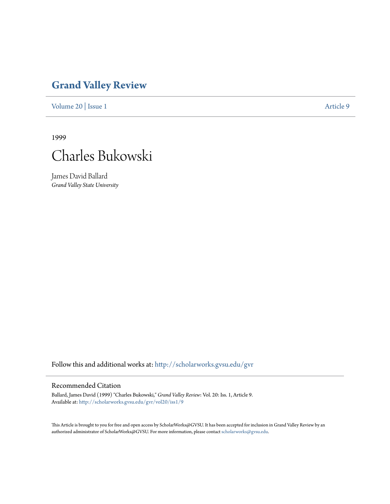## **[Grand Valley Review](http://scholarworks.gvsu.edu/gvr?utm_source=scholarworks.gvsu.edu%2Fgvr%2Fvol20%2Fiss1%2F9&utm_medium=PDF&utm_campaign=PDFCoverPages)**

[Volume 20](http://scholarworks.gvsu.edu/gvr/vol20?utm_source=scholarworks.gvsu.edu%2Fgvr%2Fvol20%2Fiss1%2F9&utm_medium=PDF&utm_campaign=PDFCoverPages) | [Issue 1](http://scholarworks.gvsu.edu/gvr/vol20/iss1?utm_source=scholarworks.gvsu.edu%2Fgvr%2Fvol20%2Fiss1%2F9&utm_medium=PDF&utm_campaign=PDFCoverPages) [Article 9](http://scholarworks.gvsu.edu/gvr/vol20/iss1/9?utm_source=scholarworks.gvsu.edu%2Fgvr%2Fvol20%2Fiss1%2F9&utm_medium=PDF&utm_campaign=PDFCoverPages)

1999



James David Ballard *Grand Valley State University*

Follow this and additional works at: [http://scholarworks.gvsu.edu/gvr](http://scholarworks.gvsu.edu/gvr?utm_source=scholarworks.gvsu.edu%2Fgvr%2Fvol20%2Fiss1%2F9&utm_medium=PDF&utm_campaign=PDFCoverPages)

## Recommended Citation

Ballard, James David (1999) "Charles Bukowski," *Grand Valley Review*: Vol. 20: Iss. 1, Article 9. Available at: [http://scholarworks.gvsu.edu/gvr/vol20/iss1/9](http://scholarworks.gvsu.edu/gvr/vol20/iss1/9?utm_source=scholarworks.gvsu.edu%2Fgvr%2Fvol20%2Fiss1%2F9&utm_medium=PDF&utm_campaign=PDFCoverPages)

This Article is brought to you for free and open access by ScholarWorks@GVSU. It has been accepted for inclusion in Grand Valley Review by an authorized administrator of ScholarWorks@GVSU. For more information, please contact [scholarworks@gvsu.edu.](mailto:scholarworks@gvsu.edu)